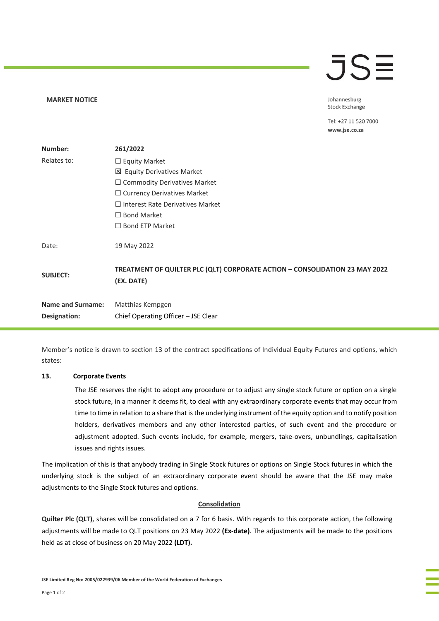#### **MARKET NOTICE**

# **JSE**

Johannesburg **Stock Exchange** 

Tel: +27 11 520 7000 www.jse.co.za

| Number:                  | 261/2022                                                                                  |
|--------------------------|-------------------------------------------------------------------------------------------|
| Relates to:              | $\Box$ Equity Market                                                                      |
|                          | ⊠ Equity Derivatives Market                                                               |
|                          | $\Box$ Commodity Derivatives Market                                                       |
|                          | $\Box$ Currency Derivatives Market                                                        |
|                          | $\Box$ Interest Rate Derivatives Market                                                   |
|                          | $\Box$ Bond Market                                                                        |
|                          | $\Box$ Bond ETP Market                                                                    |
| Date:                    | 19 May 2022                                                                               |
| <b>SUBJECT:</b>          | TREATMENT OF QUILTER PLC (QLT) CORPORATE ACTION - CONSOLIDATION 23 MAY 2022<br>(EX. DATE) |
| <b>Name and Surname:</b> | Matthias Kempgen                                                                          |
| Designation:             | Chief Operating Officer - JSE Clear                                                       |
|                          |                                                                                           |

Member's notice is drawn to section 13 of the contract specifications of Individual Equity Futures and options, which states:

### **13. Corporate Events**

The JSE reserves the right to adopt any procedure or to adjust any single stock future or option on a single stock future, in a manner it deems fit, to deal with any extraordinary corporate events that may occur from time to time in relation to a share that is the underlying instrument of the equity option and to notify position holders, derivatives members and any other interested parties, of such event and the procedure or adjustment adopted. Such events include, for example, mergers, take-overs, unbundlings, capitalisation issues and rights issues.

The implication of this is that anybody trading in Single Stock futures or options on Single Stock futures in which the underlying stock is the subject of an extraordinary corporate event should be aware that the JSE may make adjustments to the Single Stock futures and options.

### **Consolidation**

**Quilter Plc (QLT)**, shares will be consolidated on a 7 for 6 basis. With regards to this corporate action, the following adjustments will be made to QLT positions on 23 May 2022 **(Ex-date)**. The adjustments will be made to the positions held as at close of business on 20 May 2022 **(LDT).**